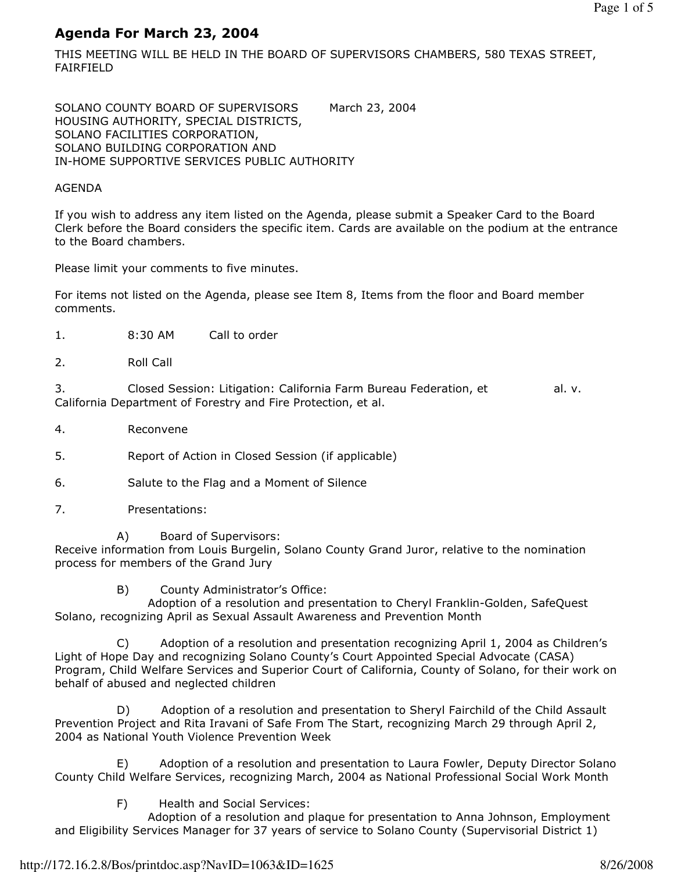# Agenda For March 23, 2004

THIS MEETING WILL BE HELD IN THE BOARD OF SUPERVISORS CHAMBERS, 580 TEXAS STREET, FAIRFIELD

SOLANO COUNTY BOARD OF SUPERVISORS March 23, 2004 HOUSING AUTHORITY, SPECIAL DISTRICTS, SOLANO FACILITIES CORPORATION, SOLANO BUILDING CORPORATION AND IN-HOME SUPPORTIVE SERVICES PUBLIC AUTHORITY

### AGENDA

If you wish to address any item listed on the Agenda, please submit a Speaker Card to the Board Clerk before the Board considers the specific item. Cards are available on the podium at the entrance to the Board chambers.

Please limit your comments to five minutes.

For items not listed on the Agenda, please see Item 8, Items from the floor and Board member comments.

- 1. 8:30 AM Call to order
- 2. Roll Call

3. Closed Session: Litigation: California Farm Bureau Federation, et al. v. California Department of Forestry and Fire Protection, et al.

4. Reconvene

5. Report of Action in Closed Session (if applicable)

- 6. Salute to the Flag and a Moment of Silence
- 7. Presentations:

 A) Board of Supervisors: Receive information from Louis Burgelin, Solano County Grand Juror, relative to the nomination process for members of the Grand Jury

B) County Administrator's Office:

 Adoption of a resolution and presentation to Cheryl Franklin-Golden, SafeQuest Solano, recognizing April as Sexual Assault Awareness and Prevention Month

 C) Adoption of a resolution and presentation recognizing April 1, 2004 as Children's Light of Hope Day and recognizing Solano County's Court Appointed Special Advocate (CASA) Program, Child Welfare Services and Superior Court of California, County of Solano, for their work on behalf of abused and neglected children

 D) Adoption of a resolution and presentation to Sheryl Fairchild of the Child Assault Prevention Project and Rita Iravani of Safe From The Start, recognizing March 29 through April 2, 2004 as National Youth Violence Prevention Week

 E) Adoption of a resolution and presentation to Laura Fowler, Deputy Director Solano County Child Welfare Services, recognizing March, 2004 as National Professional Social Work Month

F) Health and Social Services:

 Adoption of a resolution and plaque for presentation to Anna Johnson, Employment and Eligibility Services Manager for 37 years of service to Solano County (Supervisorial District 1)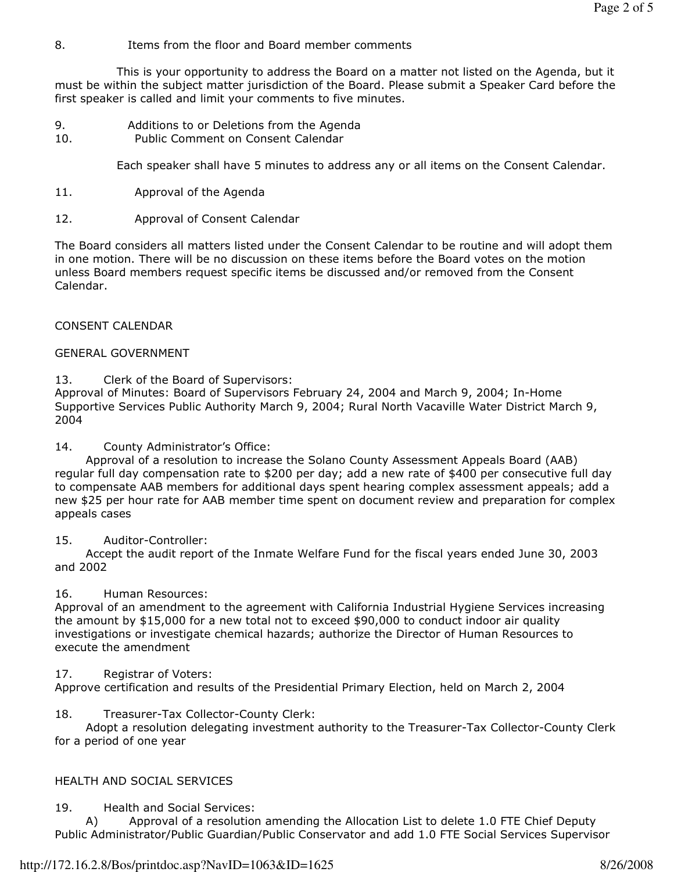### 8. Items from the floor and Board member comments

 This is your opportunity to address the Board on a matter not listed on the Agenda, but it must be within the subject matter jurisdiction of the Board. Please submit a Speaker Card before the first speaker is called and limit your comments to five minutes.

- 9. Additions to or Deletions from the Agenda 10. Public Comment on Consent Calendar
	-

Each speaker shall have 5 minutes to address any or all items on the Consent Calendar.

- 11. Approval of the Agenda
- 12. Approval of Consent Calendar

The Board considers all matters listed under the Consent Calendar to be routine and will adopt them in one motion. There will be no discussion on these items before the Board votes on the motion unless Board members request specific items be discussed and/or removed from the Consent Calendar.

### CONSENT CALENDAR

### GENERAL GOVERNMENT

13. Clerk of the Board of Supervisors:

Approval of Minutes: Board of Supervisors February 24, 2004 and March 9, 2004; In-Home Supportive Services Public Authority March 9, 2004; Rural North Vacaville Water District March 9, 2004

14. County Administrator's Office:

 Approval of a resolution to increase the Solano County Assessment Appeals Board (AAB) regular full day compensation rate to \$200 per day; add a new rate of \$400 per consecutive full day to compensate AAB members for additional days spent hearing complex assessment appeals; add a new \$25 per hour rate for AAB member time spent on document review and preparation for complex appeals cases

### 15. Auditor-Controller:

 Accept the audit report of the Inmate Welfare Fund for the fiscal years ended June 30, 2003 and 2002

# 16. Human Resources:

Approval of an amendment to the agreement with California Industrial Hygiene Services increasing the amount by \$15,000 for a new total not to exceed \$90,000 to conduct indoor air quality investigations or investigate chemical hazards; authorize the Director of Human Resources to execute the amendment

# 17. Registrar of Voters:

Approve certification and results of the Presidential Primary Election, held on March 2, 2004

# 18. Treasurer-Tax Collector-County Clerk:

 Adopt a resolution delegating investment authority to the Treasurer-Tax Collector-County Clerk for a period of one year

# HEALTH AND SOCIAL SERVICES

19. Health and Social Services:

 A) Approval of a resolution amending the Allocation List to delete 1.0 FTE Chief Deputy Public Administrator/Public Guardian/Public Conservator and add 1.0 FTE Social Services Supervisor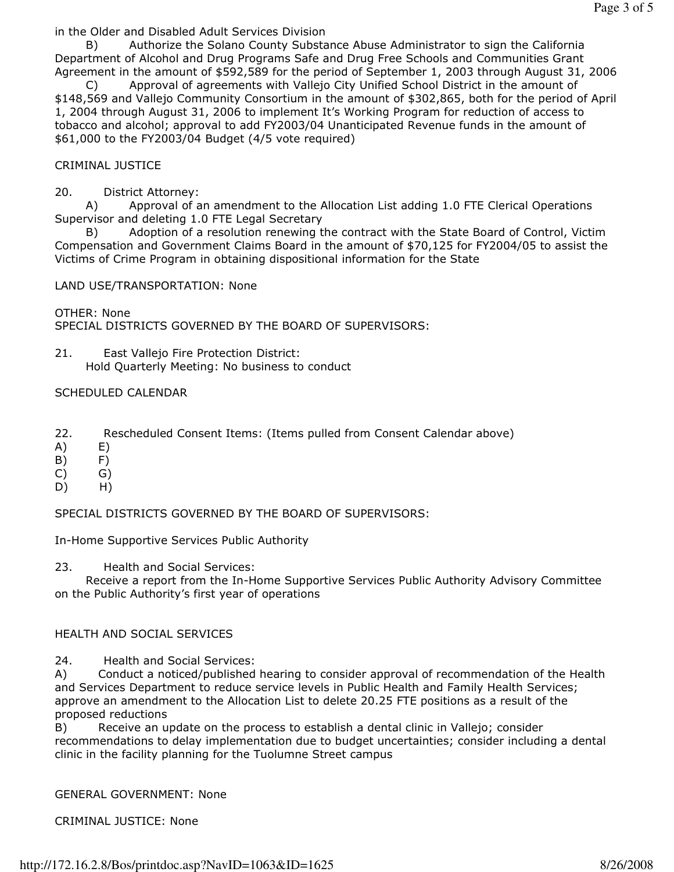in the Older and Disabled Adult Services Division

 B) Authorize the Solano County Substance Abuse Administrator to sign the California Department of Alcohol and Drug Programs Safe and Drug Free Schools and Communities Grant Agreement in the amount of \$592,589 for the period of September 1, 2003 through August 31, 2006

 C) Approval of agreements with Vallejo City Unified School District in the amount of \$148,569 and Vallejo Community Consortium in the amount of \$302,865, both for the period of April 1, 2004 through August 31, 2006 to implement It's Working Program for reduction of access to tobacco and alcohol; approval to add FY2003/04 Unanticipated Revenue funds in the amount of \$61,000 to the FY2003/04 Budget (4/5 vote required)

#### CRIMINAL JUSTICE

20. District Attorney:

 A) Approval of an amendment to the Allocation List adding 1.0 FTE Clerical Operations Supervisor and deleting 1.0 FTE Legal Secretary

 B) Adoption of a resolution renewing the contract with the State Board of Control, Victim Compensation and Government Claims Board in the amount of \$70,125 for FY2004/05 to assist the Victims of Crime Program in obtaining dispositional information for the State

LAND USE/TRANSPORTATION: None

OTHER: None SPECIAL DISTRICTS GOVERNED BY THE BOARD OF SUPERVISORS:

21. East Vallejo Fire Protection District: Hold Quarterly Meeting: No business to conduct

### SCHEDULED CALENDAR

- 22. Rescheduled Consent Items: (Items pulled from Consent Calendar above)
- A) E)
- B) F)
- C) G)
- D) H)

SPECIAL DISTRICTS GOVERNED BY THE BOARD OF SUPERVISORS:

In-Home Supportive Services Public Authority

23. Health and Social Services:

 Receive a report from the In-Home Supportive Services Public Authority Advisory Committee on the Public Authority's first year of operations

### HEALTH AND SOCIAL SERVICES

24. Health and Social Services:

A) Conduct a noticed/published hearing to consider approval of recommendation of the Health and Services Department to reduce service levels in Public Health and Family Health Services; approve an amendment to the Allocation List to delete 20.25 FTE positions as a result of the proposed reductions

B) Receive an update on the process to establish a dental clinic in Vallejo; consider recommendations to delay implementation due to budget uncertainties; consider including a dental clinic in the facility planning for the Tuolumne Street campus

GENERAL GOVERNMENT: None

CRIMINAL JUSTICE: None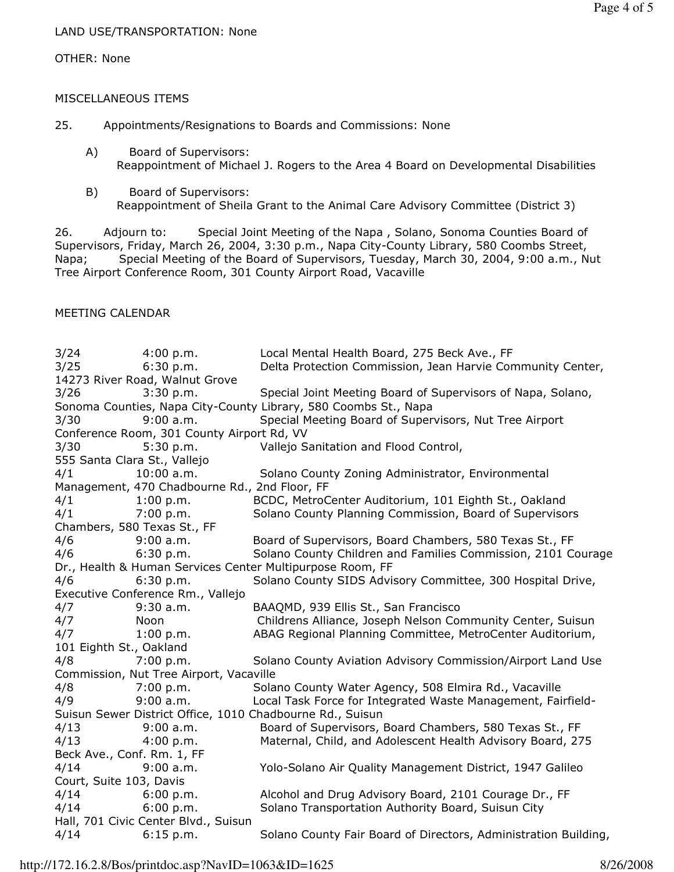### LAND USE/TRANSPORTATION: None

#### OTHER: None

### MISCELLANEOUS ITEMS

- 25. Appointments/Resignations to Boards and Commissions: None
	- A) Board of Supervisors: Reappointment of Michael J. Rogers to the Area 4 Board on Developmental Disabilities
	- B) Board of Supervisors: Reappointment of Sheila Grant to the Animal Care Advisory Committee (District 3)

26. Adjourn to: Special Joint Meeting of the Napa , Solano, Sonoma Counties Board of Supervisors, Friday, March 26, 2004, 3:30 p.m., Napa City-County Library, 580 Coombs Street, Napa; Special Meeting of the Board of Supervisors, Tuesday, March 30, 2004, 9:00 a.m., Nut Tree Airport Conference Room, 301 County Airport Road, Vacaville

### MEETING CALENDAR

| 3/24                                                      | 4:00 p.m.                         | Local Mental Health Board, 275 Beck Ave., FF                    |  |  |
|-----------------------------------------------------------|-----------------------------------|-----------------------------------------------------------------|--|--|
| 3/25                                                      | 6:30 p.m.                         | Delta Protection Commission, Jean Harvie Community Center,      |  |  |
| 14273 River Road, Walnut Grove                            |                                   |                                                                 |  |  |
| 3/26                                                      | 3:30 p.m.                         | Special Joint Meeting Board of Supervisors of Napa, Solano,     |  |  |
|                                                           |                                   | Sonoma Counties, Napa City-County Library, 580 Coombs St., Napa |  |  |
| 3/30                                                      | 9:00 a.m.                         | Special Meeting Board of Supervisors, Nut Tree Airport          |  |  |
| Conference Room, 301 County Airport Rd, VV                |                                   |                                                                 |  |  |
| 3/30                                                      | 5:30 p.m.                         | Vallejo Sanitation and Flood Control,                           |  |  |
| 555 Santa Clara St., Vallejo                              |                                   |                                                                 |  |  |
| 4/1                                                       | $10:00$ a.m.                      | Solano County Zoning Administrator, Environmental               |  |  |
| Management, 470 Chadbourne Rd., 2nd Floor, FF             |                                   |                                                                 |  |  |
| 4/1                                                       | 1:00 p.m.                         | BCDC, MetroCenter Auditorium, 101 Eighth St., Oakland           |  |  |
| 4/1                                                       | 7:00 p.m.                         | Solano County Planning Commission, Board of Supervisors         |  |  |
| Chambers, 580 Texas St., FF                               |                                   |                                                                 |  |  |
| 4/6                                                       | 9:00 a.m.                         | Board of Supervisors, Board Chambers, 580 Texas St., FF         |  |  |
| 4/6                                                       | 6:30 p.m.                         | Solano County Children and Families Commission, 2101 Courage    |  |  |
| Dr., Health & Human Services Center Multipurpose Room, FF |                                   |                                                                 |  |  |
| 4/6                                                       | 6:30 p.m.                         | Solano County SIDS Advisory Committee, 300 Hospital Drive,      |  |  |
|                                                           | Executive Conference Rm., Vallejo |                                                                 |  |  |
| 4/7                                                       | $9:30$ a.m.                       | BAAQMD, 939 Ellis St., San Francisco                            |  |  |
| 4/7                                                       | Noon                              | Childrens Alliance, Joseph Nelson Community Center, Suisun      |  |  |
| 4/7                                                       | 1:00 p.m.                         | ABAG Regional Planning Committee, MetroCenter Auditorium,       |  |  |
| 101 Eighth St., Oakland                                   |                                   |                                                                 |  |  |
| 4/8                                                       | 7:00 p.m.                         | Solano County Aviation Advisory Commission/Airport Land Use     |  |  |
| Commission, Nut Tree Airport, Vacaville                   |                                   |                                                                 |  |  |
| 4/8                                                       | 7:00 p.m.                         | Solano County Water Agency, 508 Elmira Rd., Vacaville           |  |  |
| 4/9                                                       | 9:00 a.m.                         | Local Task Force for Integrated Waste Management, Fairfield-    |  |  |
| Suisun Sewer District Office, 1010 Chadbourne Rd., Suisun |                                   |                                                                 |  |  |
| 4/13                                                      | 9:00 a.m.                         | Board of Supervisors, Board Chambers, 580 Texas St., FF         |  |  |
| 4/13                                                      | 4:00 p.m.                         | Maternal, Child, and Adolescent Health Advisory Board, 275      |  |  |
| Beck Ave., Conf. Rm. 1, FF                                |                                   |                                                                 |  |  |
| 4/14                                                      | 9:00 a.m.                         | Yolo-Solano Air Quality Management District, 1947 Galileo       |  |  |
| Court, Suite 103, Davis                                   |                                   |                                                                 |  |  |
| 4/14                                                      | 6:00 p.m.                         | Alcohol and Drug Advisory Board, 2101 Courage Dr., FF           |  |  |
| 4/14                                                      | 6:00 p.m.                         | Solano Transportation Authority Board, Suisun City              |  |  |
| Hall, 701 Civic Center Blvd., Suisun                      |                                   |                                                                 |  |  |
| 4/14                                                      | 6:15 p.m.                         | Solano County Fair Board of Directors, Administration Building, |  |  |